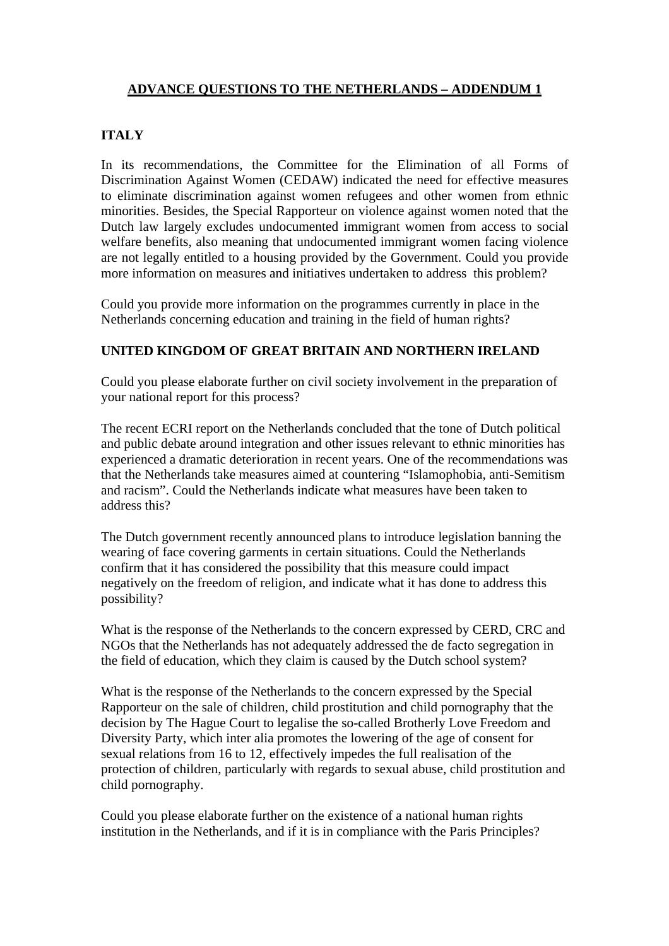## **ADVANCE QUESTIONS TO THE NETHERLANDS – ADDENDUM 1**

## **ITALY**

In its recommendations, the Committee for the Elimination of all Forms of Discrimination Against Women (CEDAW) indicated the need for effective measures to eliminate discrimination against women refugees and other women from ethnic minorities. Besides, the Special Rapporteur on violence against women noted that the Dutch law largely excludes undocumented immigrant women from access to social welfare benefits, also meaning that undocumented immigrant women facing violence are not legally entitled to a housing provided by the Government. Could you provide more information on measures and initiatives undertaken to address this problem?

Could you provide more information on the programmes currently in place in the Netherlands concerning education and training in the field of human rights?

## **UNITED KINGDOM OF GREAT BRITAIN AND NORTHERN IRELAND**

Could you please elaborate further on civil society involvement in the preparation of your national report for this process?

The recent ECRI report on the Netherlands concluded that the tone of Dutch political and public debate around integration and other issues relevant to ethnic minorities has experienced a dramatic deterioration in recent years. One of the recommendations was that the Netherlands take measures aimed at countering "Islamophobia, anti-Semitism and racism". Could the Netherlands indicate what measures have been taken to address this?

The Dutch government recently announced plans to introduce legislation banning the wearing of face covering garments in certain situations. Could the Netherlands confirm that it has considered the possibility that this measure could impact negatively on the freedom of religion, and indicate what it has done to address this possibility?

What is the response of the Netherlands to the concern expressed by CERD, CRC and NGOs that the Netherlands has not adequately addressed the de facto segregation in the field of education, which they claim is caused by the Dutch school system?

What is the response of the Netherlands to the concern expressed by the Special Rapporteur on the sale of children, child prostitution and child pornography that the decision by The Hague Court to legalise the so-called Brotherly Love Freedom and Diversity Party, which inter alia promotes the lowering of the age of consent for sexual relations from 16 to 12, effectively impedes the full realisation of the protection of children, particularly with regards to sexual abuse, child prostitution and child pornography.

Could you please elaborate further on the existence of a national human rights institution in the Netherlands, and if it is in compliance with the Paris Principles?